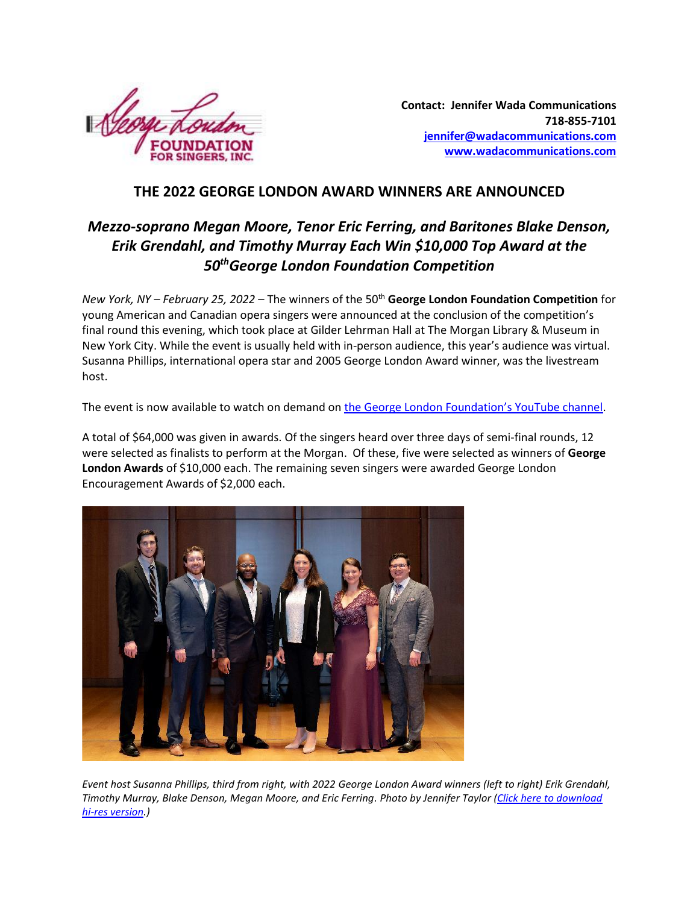

**Contact: Jennifer Wada Communications 718-855-7101 [jennifer@wadacommunications.com](mailto:jennifer@wadacommunications.com) [www.wadacommunications.com](http://www.wadacommunications.com/)**

## **THE 2022 GEORGE LONDON AWARD WINNERS ARE ANNOUNCED**

# *Mezzo-soprano Megan Moore, Tenor Eric Ferring, and Baritones Blake Denson, Erik Grendahl, and Timothy Murray Each Win \$10,000 Top Award at the 50thGeorge London Foundation Competition*

*New York, NY - February 25, 2022* – The winners of the 50<sup>th</sup> George London Foundation Competition for young American and Canadian opera singers were announced at the conclusion of the competition's final round this evening, which took place at Gilder Lehrman Hall at The Morgan Library & Museum in New York City. While the event is usually held with in-person audience, this year's audience was virtual. Susanna Phillips, international opera star and 2005 George London Award winner, was the livestream host.

The event is now available to watch on demand on [the George London Foundation's YouTube channel](https://www.youtube.com/watch?v=a_LWBnD3QCE).

A total of \$64,000 was given in awards. Of the singers heard over three days of semi-final rounds, 12 were selected as finalists to perform at the Morgan. Of these, five were selected as winners of **George London Awards** of \$10,000 each. The remaining seven singers were awarded George London Encouragement Awards of \$2,000 each.



*Event host Susanna Phillips, third from right, with 2022 George London Award winners (left to right) Erik Grendahl, Timothy Murray, Blake Denson, Megan Moore, and Eric Ferring. Photo by Jennifer Taylor [\(Click here to download](https://www.wadacommunications.com/wp-content/uploads/George-London-Award-2022-winners-photo-by-Jennifer-Taylor-HR.jpg)  [hi-res version.](https://www.wadacommunications.com/wp-content/uploads/George-London-Award-2022-winners-photo-by-Jennifer-Taylor-HR.jpg))*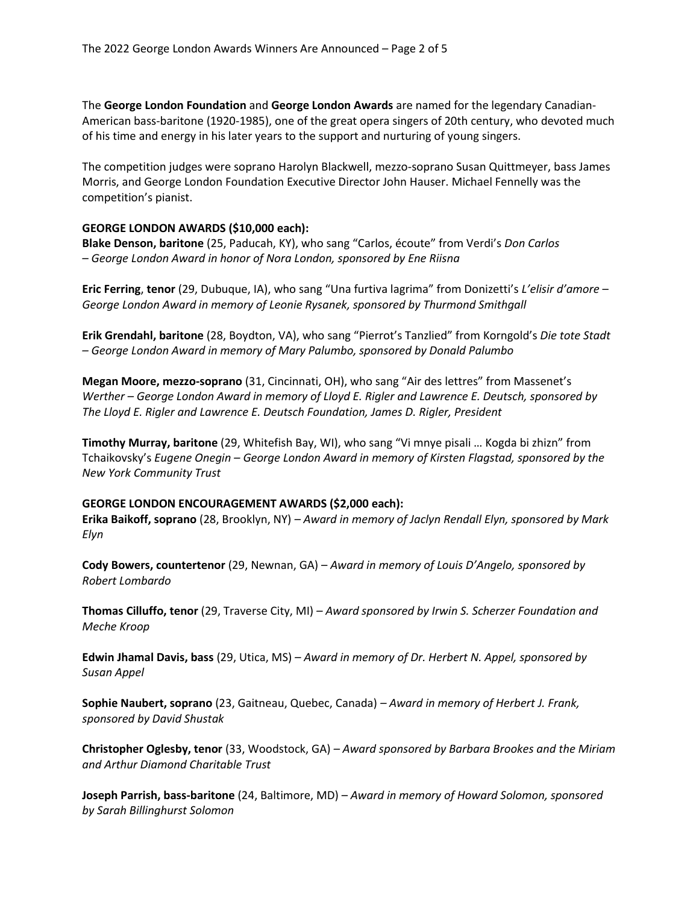The **George London Foundation** and **George London Awards** are named for the legendary Canadian-American bass-baritone (1920-1985), one of the great opera singers of 20th century, who devoted much of his time and energy in his later years to the support and nurturing of young singers.

The competition judges were soprano Harolyn Blackwell, mezzo-soprano Susan Quittmeyer, bass James Morris, and George London Foundation Executive Director John Hauser. Michael Fennelly was the competition's pianist.

### **GEORGE LONDON AWARDS (\$10,000 each):**

**Blake Denson, baritone** (25, Paducah, KY), who sang "Carlos, écoute" from Verdi's *Don Carlos – George London Award in honor of Nora London, sponsored by Ene Riisna*

**Eric Ferring**, **tenor** (29, Dubuque, IA), who sang "Una furtiva lagrima" from Donizetti's *L'elisir d'amore* – *George London Award in memory of Leonie Rysanek, sponsored by Thurmond Smithgall*

**Erik Grendahl, baritone** (28, Boydton, VA), who sang "Pierrot's Tanzlied" from Korngold's *Die tote Stadt – George London Award in memory of Mary Palumbo, sponsored by Donald Palumbo*

**Megan Moore, mezzo-soprano** (31, Cincinnati, OH), who sang "Air des lettres" from Massenet's *Werther – George London Award in memory of Lloyd E. Rigler and Lawrence E. Deutsch, sponsored by The Lloyd E. Rigler and Lawrence E. Deutsch Foundation, James D. Rigler, President*

**Timothy Murray, baritone** (29, Whitefish Bay, WI), who sang "Vi mnye pisali … Kogda bi zhizn" from Tchaikovsky's *Eugene Onegin – George London Award in memory of Kirsten Flagstad, sponsored by the New York Community Trust*

#### **GEORGE LONDON ENCOURAGEMENT AWARDS (\$2,000 each):**

**Erika Baikoff, soprano** (28, Brooklyn, NY) *– Award in memory of Jaclyn Rendall Elyn, sponsored by Mark Elyn*

**Cody Bowers, countertenor** (29, Newnan, GA) – *Award in memory of Louis D'Angelo, sponsored by Robert Lombardo*

**Thomas Cilluffo, tenor** (29, Traverse City, MI) *– Award sponsored by Irwin S. Scherzer Foundation and Meche Kroop*

**Edwin Jhamal Davis, bass** (29, Utica, MS) *– Award in memory of Dr. Herbert N. Appel, sponsored by Susan Appel*

**Sophie Naubert, soprano** (23, Gaitneau, Quebec, Canada) *– Award in memory of Herbert J. Frank, sponsored by David Shustak*

**Christopher Oglesby, tenor** (33, Woodstock, GA) *– Award sponsored by Barbara Brookes and the Miriam and Arthur Diamond Charitable Trust*

**Joseph Parrish, bass-baritone** (24, Baltimore, MD) – *Award in memory of Howard Solomon, sponsored by Sarah Billinghurst Solomon*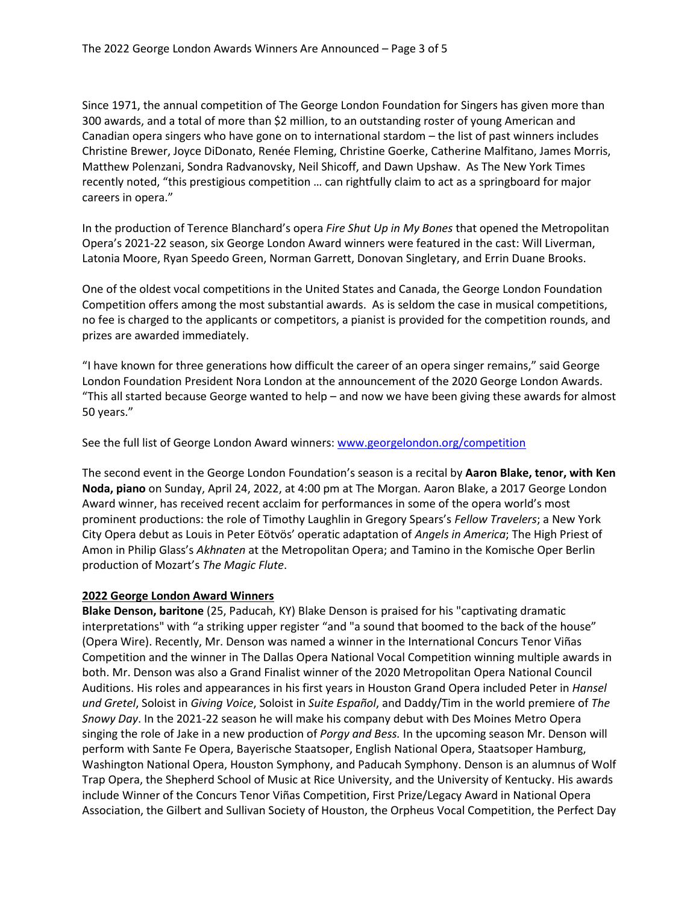Since 1971, the annual competition of The George London Foundation for Singers has given more than 300 awards, and a total of more than \$2 million, to an outstanding roster of young American and Canadian opera singers who have gone on to international stardom – the list of past winners includes Christine Brewer, Joyce DiDonato, Renée Fleming, Christine Goerke, Catherine Malfitano, James Morris, Matthew Polenzani, Sondra Radvanovsky, Neil Shicoff, and Dawn Upshaw. As The New York Times recently noted, "this prestigious competition … can rightfully claim to act as a springboard for major careers in opera."

In the production of Terence Blanchard's opera *Fire Shut Up in My Bones* that opened the Metropolitan Opera's 2021-22 season, six George London Award winners were featured in the cast: Will Liverman, Latonia Moore, Ryan Speedo Green, Norman Garrett, Donovan Singletary, and Errin Duane Brooks.

One of the oldest vocal competitions in the United States and Canada, the George London Foundation Competition offers among the most substantial awards. As is seldom the case in musical competitions, no fee is charged to the applicants or competitors, a pianist is provided for the competition rounds, and prizes are awarded immediately.

"I have known for three generations how difficult the career of an opera singer remains," said George London Foundation President Nora London at the announcement of the 2020 George London Awards. "This all started because George wanted to help – and now we have been giving these awards for almost 50 years."

See the full list of George London Award winners[: www.georgelondon.org/competition](http://www.georgelondon.org/competition)

The second event in the George London Foundation's season is a recital by **Aaron Blake, tenor, with Ken Noda, piano** on Sunday, April 24, 2022, at 4:00 pm at The Morgan*.* Aaron Blake, a 2017 George London Award winner, has received recent acclaim for performances in some of the opera world's most prominent productions: the role of Timothy Laughlin in Gregory Spears's *Fellow Travelers*; a New York City Opera debut as Louis in Peter Eötvös' operatic adaptation of *Angels in America*; The High Priest of Amon in Philip Glass's *Akhnaten* at the Metropolitan Opera; and Tamino in the Komische Oper Berlin production of Mozart's *The Magic Flute*.

### **2022 George London Award Winners**

**Blake Denson, baritone** (25, Paducah, KY) Blake Denson is praised for his "captivating dramatic interpretations" with "a striking upper register "and "a sound that boomed to the back of the house" (Opera Wire). Recently, Mr. Denson was named a winner in the International Concurs Tenor Viñas Competition and the winner in The Dallas Opera National Vocal Competition winning multiple awards in both. Mr. Denson was also a Grand Finalist winner of the 2020 Metropolitan Opera National Council Auditions. His roles and appearances in his first years in Houston Grand Opera included Peter in *Hansel und Gretel*, Soloist in *Giving Voice*, Soloist in *Suite Español*, and Daddy/Tim in the world premiere of *The Snowy Day*. In the 2021-22 season he will make his company debut with Des Moines Metro Opera singing the role of Jake in a new production of *Porgy and Bess.* In the upcoming season Mr. Denson will perform with Sante Fe Opera, Bayerische Staatsoper, English National Opera, Staatsoper Hamburg, Washington National Opera, Houston Symphony, and Paducah Symphony. Denson is an alumnus of Wolf Trap Opera, the Shepherd School of Music at Rice University, and the University of Kentucky. His awards include Winner of the Concurs Tenor Viñas Competition, First Prize/Legacy Award in National Opera Association, the Gilbert and Sullivan Society of Houston, the Orpheus Vocal Competition, the Perfect Day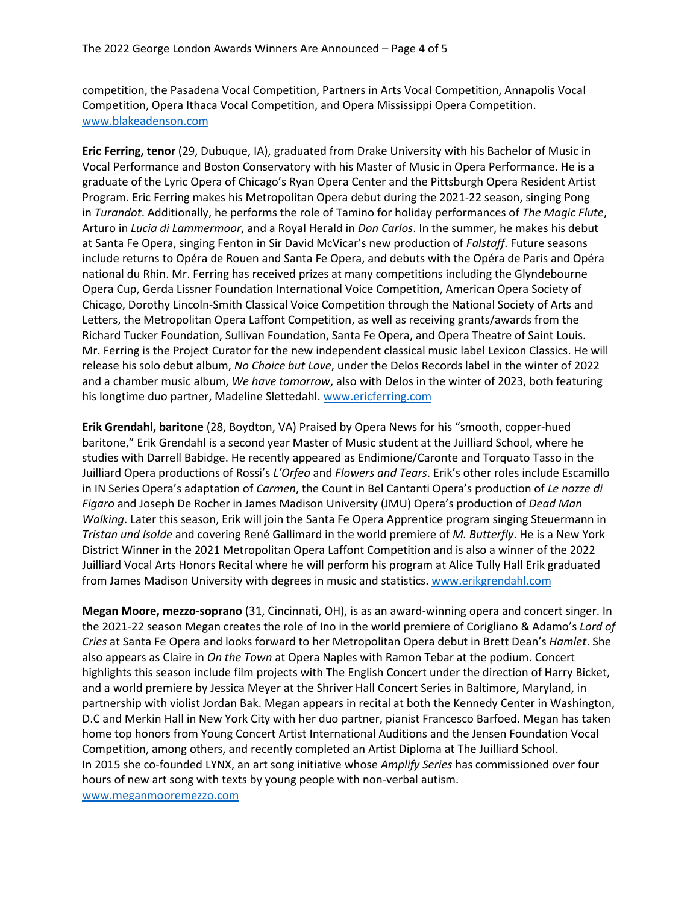competition, the Pasadena Vocal Competition, Partners in Arts Vocal Competition, Annapolis Vocal Competition, Opera Ithaca Vocal Competition, and Opera Mississippi Opera Competition. [www.blakeadenson.com](http://www.blakeadenson.com/)

**Eric Ferring, tenor** (29, Dubuque, IA), graduated from Drake University with his Bachelor of Music in Vocal Performance and Boston Conservatory with his Master of Music in Opera Performance. He is a graduate of the Lyric Opera of Chicago's Ryan Opera Center and the Pittsburgh Opera Resident Artist Program. Eric Ferring makes his Metropolitan Opera debut during the 2021-22 season, singing Pong in *Turandot*. Additionally, he performs the role of Tamino for holiday performances of *The Magic Flute*, Arturo in *Lucia di Lammermoor*, and a Royal Herald in *Don Carlos*. In the summer, he makes his debut at Santa Fe Opera, singing Fenton in Sir David McVicar's new production of *Falstaff*. Future seasons include returns to Opéra de Rouen and Santa Fe Opera, and debuts with the Opéra de Paris and Opéra national du Rhin. Mr. Ferring has received prizes at many competitions including the Glyndebourne Opera Cup, Gerda Lissner Foundation International Voice Competition, American Opera Society of Chicago, Dorothy Lincoln-Smith Classical Voice Competition through the National Society of Arts and Letters, the Metropolitan Opera Laffont Competition, as well as receiving grants/awards from the Richard Tucker Foundation, Sullivan Foundation, Santa Fe Opera, and Opera Theatre of Saint Louis. Mr. Ferring is the Project Curator for the new independent classical music label Lexicon Classics. He will release his solo debut album, *No Choice but Love*, under the Delos Records label in the winter of 2022 and a chamber music album, *We have tomorrow*, also with Delos in the winter of 2023, both featuring his longtime duo partner, Madeline Slettedahl. [www.ericferring.com](http://www.ericferring.com/)

**Erik Grendahl, baritone** (28, Boydton, VA) Praised by Opera News for his "smooth, copper-hued baritone," Erik Grendahl is a second year Master of Music student at the Juilliard School, where he studies with Darrell Babidge. He recently appeared as Endimione/Caronte and Torquato Tasso in the Juilliard Opera productions of Rossi's *L'Orfeo* and *Flowers and Tears*. Erik's other roles include Escamillo in IN Series Opera's adaptation of *Carmen*, the Count in Bel Cantanti Opera's production of *Le nozze di Figaro* and Joseph De Rocher in James Madison University (JMU) Opera's production of *Dead Man Walking*. Later this season, Erik will join the Santa Fe Opera Apprentice program singing Steuermann in *Tristan und Isolde* and covering René Gallimard in the world premiere of *M. Butterfly*. He is a New York District Winner in the 2021 Metropolitan Opera Laffont Competition and is also a winner of the 2022 Juilliard Vocal Arts Honors Recital where he will perform his program at Alice Tully Hall Erik graduated from James Madison University with degrees in music and statistics. [www.erikgrendahl.com](http://www.erikgrendahl.com/)

**Megan Moore, mezzo-soprano** (31, Cincinnati, OH), is as an award-winning opera and concert singer. In the 2021-22 season Megan creates the role of Ino in the world premiere of Corigliano & Adamo's *Lord of Cries* at Santa Fe Opera and looks forward to her Metropolitan Opera debut in Brett Dean's *Hamlet*. She also appears as Claire in *On the Town* at Opera Naples with Ramon Tebar at the podium. Concert highlights this season include film projects with The English Concert under the direction of Harry Bicket, and a world premiere by Jessica Meyer at the Shriver Hall Concert Series in Baltimore, Maryland, in partnership with violist Jordan Bak. Megan appears in recital at both the Kennedy Center in Washington, D.C and Merkin Hall in New York City with her duo partner, pianist Francesco Barfoed. Megan has taken home top honors from Young Concert Artist International Auditions and the Jensen Foundation Vocal Competition, among others, and recently completed an Artist Diploma at The Juilliard School. In 2015 she co-founded LYNX, an art song initiative whose *Amplify Series* has commissioned over four hours of new art song with texts by young people with non-verbal autism. [www.meganmooremezzo.com](http://www.meganmooremezzo.com/)